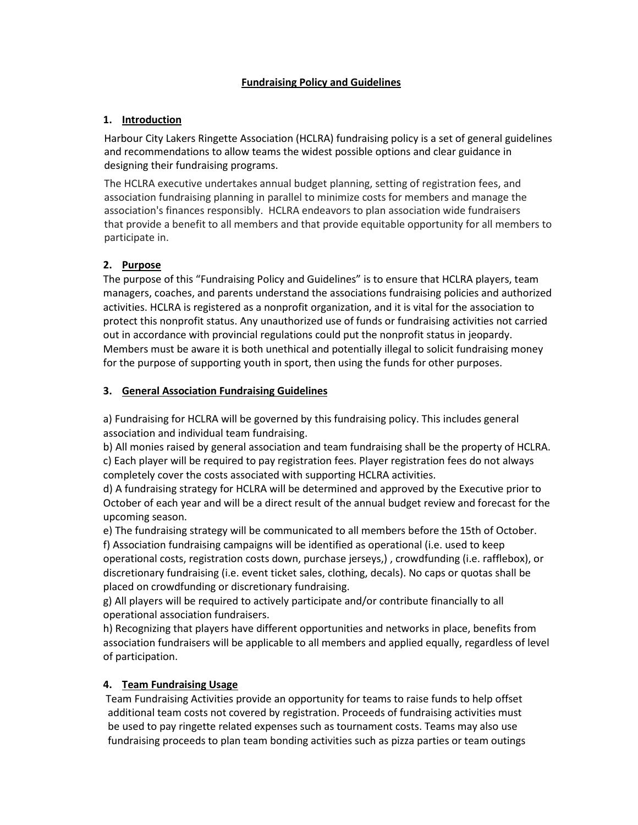### **Fundraising Policy and Guidelines**

#### **1. Introduction**

Harbour City Lakers Ringette Association (HCLRA) fundraising policy is a set of general guidelines and recommendations to allow teams the widest possible options and clear guidance in designing their fundraising programs.

The HCLRA executive undertakes annual budget planning, setting of registration fees, and association fundraising planning in parallel to minimize costs for members and manage the association's finances responsibly. HCLRA endeavors to plan association wide fundraisers that provide a benefit to all members and that provide equitable opportunity for all members to participate in.

# **2. Purpose**

The purpose of this "Fundraising Policy and Guidelines" is to ensure that HCLRA players, team managers, coaches, and parents understand the associations fundraising policies and authorized activities. HCLRA is registered as a nonprofit organization, and it is vital for the association to protect this nonprofit status. Any unauthorized use of funds or fundraising activities not carried out in accordance with provincial regulations could put the nonprofit status in jeopardy. Members must be aware it is both unethical and potentially illegal to solicit fundraising money for the purpose of supporting youth in sport, then using the funds for other purposes.

# **3. General Association Fundraising Guidelines**

a) Fundraising for HCLRA will be governed by this fundraising policy. This includes general association and individual team fundraising.

b) All monies raised by general association and team fundraising shall be the property of HCLRA. c) Each player will be required to pay registration fees. Player registration fees do not always completely cover the costs associated with supporting HCLRA activities.

d) A fundraising strategy for HCLRA will be determined and approved by the Executive prior to October of each year and will be a direct result of the annual budget review and forecast for the upcoming season.

e) The fundraising strategy will be communicated to all members before the 15th of October. f) Association fundraising campaigns will be identified as operational (i.e. used to keep operational costs, registration costs down, purchase jerseys,) , crowdfunding (i.e. rafflebox), or discretionary fundraising (i.e. event ticket sales, clothing, decals). No caps or quotas shall be placed on crowdfunding or discretionary fundraising.

g) All players will be required to actively participate and/or contribute financially to all operational association fundraisers.

h) Recognizing that players have different opportunities and networks in place, benefits from association fundraisers will be applicable to all members and applied equally, regardless of level of participation.

# **4. Team Fundraising Usage**

Team Fundraising Activities provide an opportunity for teams to raise funds to help offset additional team costs not covered by registration. Proceeds of fundraising activities must be used to pay ringette related expenses such as tournament costs. Teams may also use fundraising proceeds to plan team bonding activities such as pizza parties or team outings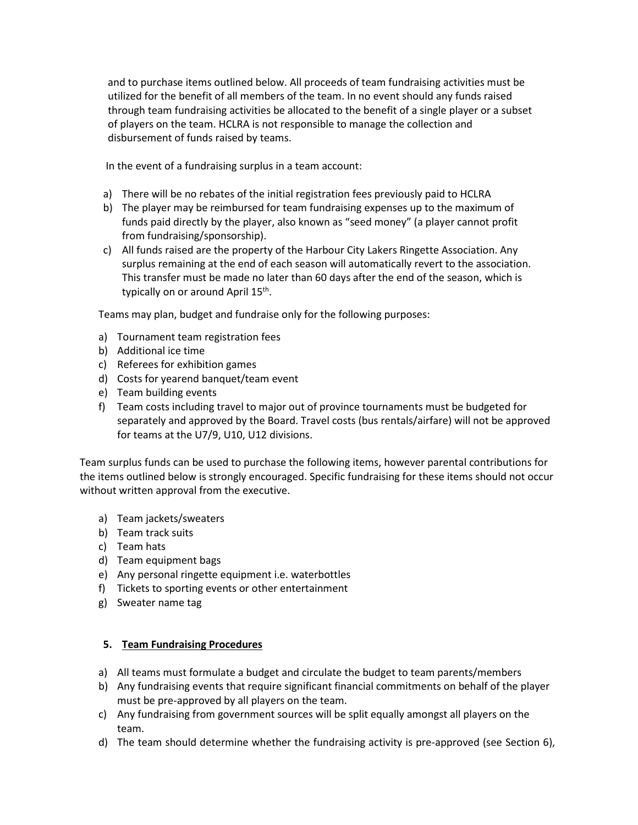and to purchase items outlined below. All proceeds of team fundraising activities must be utilized for the benefit of all members of the team. In no event should any funds raised through team fundraising activities be allocated to the benefit of a single player or a subset of players on the team. HCLRA is not responsible to manage the collection and disbursement of funds raised by teams.

In the event of a fundraising surplus in a team account:

- a) There will be no rebates of the initial registration fees previously paid to HCLRA
- b) The player may be reimbursed for team fundraising expenses up to the maximum of funds paid directly by the player, also known as "seed money" (a player cannot profit from fundraising/sponsorship).
- c) All funds raised are the property of the Harbour City Lakers Ringette Association. Any surplus remaining at the end of each season will automatically revert to the association. This transfer must be made no later than 60 days after the end of the season, which is typically on or around April 15<sup>th</sup>.

Teams may plan, budget and fundraise only for the following purposes:

- a) Tournament team registration fees
- b) Additional ice time
- c) Referees for exhibition games
- d) Costs for yearend banquet/team event
- e) Team building events
- f) Team costs including travel to major out of province tournaments must be budgeted for separately and approved by the Board. Travel costs (bus rentals/airfare) will not be approved for teams at the U7/9, U10, U12 divisions.

Team surplus funds can be used to purchase the following items, however parental contributions for the items outlined below is strongly encouraged. Specific fundraising for these items should not occur without written approval from the executive.

- a) Team jackets/sweaters
- b) Team track suits
- c) Team hats
- d) Team equipment bags
- e) Any personal ringette equipment i.e. waterbottles
- f) Tickets to sporting events or other entertainment
- g) Sweater name tag

#### **5. Team Fundraising Procedures**

- a) All teams must formulate a budget and circulate the budget to team parents/members
- b) Any fundraising events that require significant financial commitments on behalf of the player must be pre-approved by all players on the team.
- c) Any fundraising from government sources will be split equally amongst all players on the team.
- d) The team should determine whether the fundraising activity is pre-approved (see Section 6),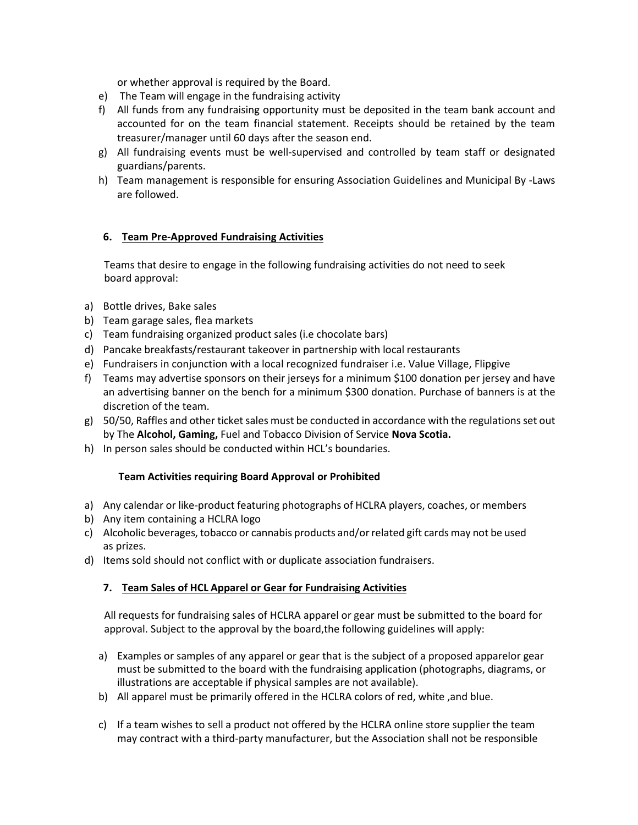or whether approval is required by the Board.

- e) The Team will engage in the fundraising activity
- f) All funds from any fundraising opportunity must be deposited in the team bank account and accounted for on the team financial statement. Receipts should be retained by the team treasurer/manager until 60 days after the season end.
- g) All fundraising events must be well-supervised and controlled by team staff or designated guardians/parents.
- h) Team management is responsible for ensuring Association Guidelines and Municipal By -Laws are followed.

# **6. Team Pre-Approved Fundraising Activities**

Teams that desire to engage in the following fundraising activities do not need to seek board approval:

- a) Bottle drives, Bake sales
- b) Team garage sales, flea markets
- c) Team fundraising organized product sales (i.e chocolate bars)
- d) Pancake breakfasts/restaurant takeover in partnership with local restaurants
- e) Fundraisers in conjunction with a local recognized fundraiser i.e. Value Village, Flipgive
- f) Teams may advertise sponsors on their jerseys for a minimum \$100 donation per jersey and have an advertising banner on the bench for a minimum \$300 donation. Purchase of banners is at the discretion of the team.
- g) 50/50, Raffles and other ticket sales must be conducted in accordance with the regulations set out by The **Alcohol, Gaming,** Fuel and Tobacco Division of Service **Nova Scotia.**
- h) In person sales should be conducted within HCL's boundaries.

#### **Team Activities requiring Board Approval or Prohibited**

- a) Any calendar or like-product featuring photographs of HCLRA players, coaches, or members
- b) Any item containing a HCLRA logo
- c) Alcoholic beverages, tobacco or cannabis products and/or related gift cards may not be used as prizes.
- d) Items sold should not conflict with or duplicate association fundraisers.

#### **7. Team Sales of HCL Apparel or Gear for Fundraising Activities**

All requests for fundraising sales of HCLRA apparel or gear must be submitted to the board for approval. Subject to the approval by the board,the following guidelines will apply:

- a) Examples or samples of any apparel or gear that is the subject of a proposed apparelor gear must be submitted to the board with the fundraising application (photographs, diagrams, or illustrations are acceptable if physical samples are not available).
- b) All apparel must be primarily offered in the HCLRA colors of red, white ,and blue.
- c) If a team wishes to sell a product not offered by the HCLRA online store supplier the team may contract with a third-party manufacturer, but the Association shall not be responsible